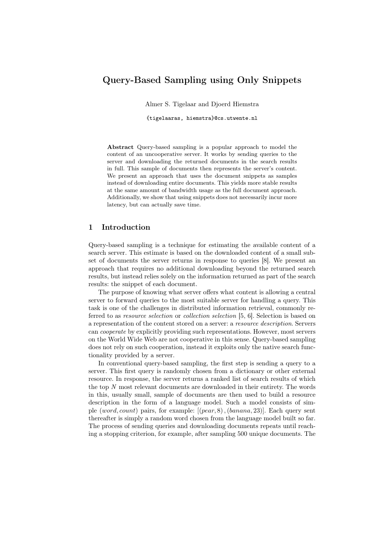## Query-Based Sampling using Only Snippets

Almer S. Tigelaar and Djoerd Hiemstra

{tigelaaras, hiemstra}@cs.utwente.nl

Abstract Query-based sampling is a popular approach to model the content of an uncooperative server. It works by sending queries to the server and downloading the returned documents in the search results in full. This sample of documents then represents the server's content. We present an approach that uses the document snippets as samples instead of downloading entire documents. This yields more stable results at the same amount of bandwidth usage as the full document approach. Additionally, we show that using snippets does not necessarily incur more latency, but can actually save time.

## 1 Introduction

Query-based sampling is a technique for estimating the available content of a search server. This estimate is based on the downloaded content of a small subset of documents the server returns in response to queries [\[8\]](#page-11-0). We present an approach that requires no additional downloading beyond the returned search results, but instead relies solely on the information returned as part of the search results: the snippet of each document.

The purpose of knowing what server offers what content is allowing a central server to forward queries to the most suitable server for handling a query. This task is one of the challenges in distributed information retrieval, commonly referred to as resource selection or collection selection [\[5,](#page-11-1) [6\]](#page-11-2). Selection is based on a representation of the content stored on a server: a resource description. Servers can cooperate by explicitly providing such representations. However, most servers on the World Wide Web are not cooperative in this sense. Query-based sampling does not rely on such cooperation, instead it exploits only the native search functionality provided by a server.

In conventional query-based sampling, the first step is sending a query to a server. This first query is randomly chosen from a dictionary or other external resource. In response, the server returns a ranked list of search results of which the top N most relevant documents are downloaded in their entirety. The words in this, usually small, sample of documents are then used to build a resource description in the form of a language model. Such a model consists of simple (word, count) pairs, for example:  $[(pear, 8)$ ,  $(banana, 23)]$ . Each query sent thereafter is simply a random word chosen from the language model built so far. The process of sending queries and downloading documents repeats until reaching a stopping criterion, for example, after sampling 500 unique documents. The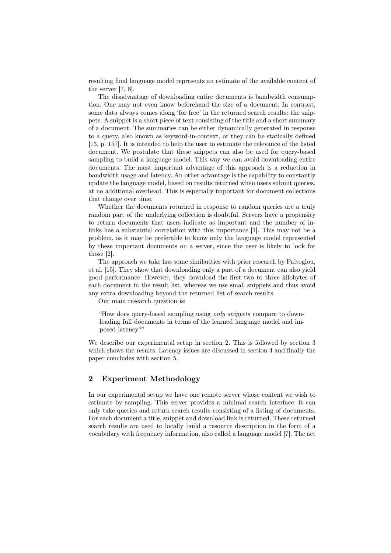resulting final language model represents an estimate of the available content of the server [\[7,](#page-11-3) [8\]](#page-11-0).

The disadvantage of downloading entire documents is bandwidth consumption. One may not even know beforehand the size of a document. In contrast, some data always comes along 'for free' in the returned search results: the snippets. A snippet is a short piece of text consisting of the title and a short summary of a document. The summaries can be either dynamically generated in response to a query, also known as keyword-in-context, or they can be statically defined [\[13,](#page-11-4) p. 157]. It is intended to help the user to estimate the relevance of the listed document. We postulate that these snippets can also be used for query-based sampling to build a language model. This way we can avoid downloading entire documents. The most important advantage of this approach is a reduction in bandwidth usage and latency. An other advantage is the capability to constantly update the language model, based on results returned when users submit queries, at no additional overhead. This is especially important for document collections that change over time.

Whether the documents returned in response to random queries are a truly random part of the underlying collection is doubtful. Servers have a propensity to return documents that users indicate as important and the number of inlinks has a substantial correlation with this importance [\[1\]](#page-11-5). This may not be a problem, as it may be preferable to know only the language model represented by these important documents on a server, since the user is likely to look for those [\[2\]](#page-11-6).

The approach we take has some similarities with prior research by Paltoglou, et al. [\[15\]](#page-11-7). They show that downloading only a part of a document can also yield good performance. However, they download the first two to three kilobytes of each document in the result list, whereas we use small snippets and thus avoid any extra downloading beyond the returned list of search results.

Our main research question is:

"How does query-based sampling using only snippets compare to downloading full documents in terms of the learned language model and imposed latency?"

We describe our experimental setup in section [2.](#page-1-0) This is followed by section [3](#page-5-0) which shows the results. Latency issues are discussed in section [4](#page-9-0) and finally the paper concludes with section [5.](#page-10-0)

## <span id="page-1-0"></span>2 Experiment Methodology

In our experimental setup we have one remote server whose content we wish to estimate by sampling. This server provides a minimal search interface: it can only take queries and return search results consisting of a listing of documents. For each document a title, snippet and download link is returned. These returned search results are used to locally build a resource description in the form of a vocabulary with frequency information, also called a language model [\[7\]](#page-11-3). The act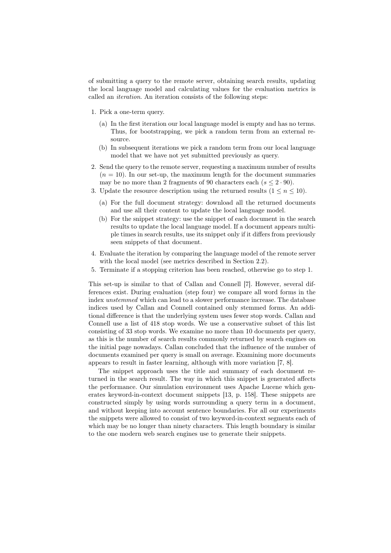of submitting a query to the remote server, obtaining search results, updating the local language model and calculating values for the evaluation metrics is called an iteration. An iteration consists of the following steps:

- 1. Pick a one-term query.
	- (a) In the first iteration our local language model is empty and has no terms. Thus, for bootstrapping, we pick a random term from an external resource.
	- (b) In subsequent iterations we pick a random term from our local language model that we have not yet submitted previously as query.
- 2. Send the query to the remote server, requesting a maximum number of results  $(n = 10)$ . In our set-up, the maximum length for the document summaries may be no more than 2 fragments of 90 characters each  $(s \leq 2.90)$ .
- 3. Update the resource description using the returned results  $(1 \le n \le 10)$ .
	- (a) For the full document strategy: download all the returned documents and use all their content to update the local language model.
	- (b) For the snippet strategy: use the snippet of each document in the search results to update the local language model. If a document appears multiple times in search results, use its snippet only if it differs from previously seen snippets of that document.
- 4. Evaluate the iteration by comparing the language model of the remote server with the local model (see metrics described in Section [2.2\)](#page-3-0).
- 5. Terminate if a stopping criterion has been reached, otherwise go to step 1.

This set-up is similar to that of Callan and Connell [\[7\]](#page-11-3). However, several differences exist. During evaluation (step four) we compare all word forms in the index unstemmed which can lead to a slower performance increase. The database indices used by Callan and Connell contained only stemmed forms. An additional difference is that the underlying system uses fewer stop words. Callan and Connell use a list of 418 stop words. We use a conservative subset of this list consisting of 33 stop words. We examine no more than 10 documents per query, as this is the number of search results commonly returned by search engines on the initial page nowadays. Callan concluded that the influence of the number of documents examined per query is small on average. Examining more documents appears to result in faster learning, although with more variation [\[7,](#page-11-3) [8\]](#page-11-0).

The snippet approach uses the title and summary of each document returned in the search result. The way in which this snippet is generated affects the performance. Our simulation environment uses Apache Lucene which generates keyword-in-context document snippets [\[13,](#page-11-4) p. 158]. These snippets are constructed simply by using words surrounding a query term in a document, and without keeping into account sentence boundaries. For all our experiments the snippets were allowed to consist of two keyword-in-context segments each of which may be no longer than ninety characters. This length boundary is similar to the one modern web search engines use to generate their snippets.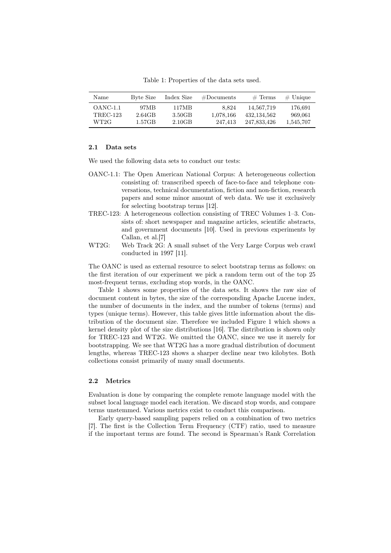<span id="page-3-1"></span>Table 1: Properties of the data sets used.

| Name            | Byte Size | Index Size | $#$ Documents | $#$ Terms     | $#$ Unique |
|-----------------|-----------|------------|---------------|---------------|------------|
| OANC-1.1        | 97MB      | 117MB      | 8.824         | 14.567.719    | 176,691    |
| <b>TREC-123</b> | 2.64GB    | 3.50GB     | 1,078,166     | 432, 134, 562 | 969,061    |
| WT2G            | 1.57GB    | 2.10GB     | 247.413       | 247.833.426   | 1,545,707  |

#### 2.1 Data sets

We used the following data sets to conduct our tests:

- OANC-1.1: The Open American National Corpus: A heterogeneous collection consisting of: transcribed speech of face-to-face and telephone conversations, technical documentation, fiction and non-fiction, research papers and some minor amount of web data. We use it exclusively for selecting bootstrap terms [\[12\]](#page-11-8).
- TREC-123: A heterogeneous collection consisting of TREC Volumes 1–3. Consists of: short newspaper and magazine articles, scientific abstracts, and government documents [\[10\]](#page-11-9). Used in previous experiments by Callan, et al.[\[7\]](#page-11-3)
- WT2G: Web Track 2G: A small subset of the Very Large Corpus web crawl conducted in 1997 [\[11\]](#page-11-10).

The OANC is used as external resource to select bootstrap terms as follows: on the first iteration of our experiment we pick a random term out of the top 25 most-frequent terms, excluding stop words, in the OANC.

Table [1](#page-3-1) shows some properties of the data sets. It shows the raw size of document content in bytes, the size of the corresponding Apache Lucene index, the number of documents in the index, and the number of tokens (terms) and types (unique terms). However, this table gives little information about the distribution of the document size. Therefore we included Figure [1](#page-4-0) which shows a kernel density plot of the size distributions [\[16\]](#page-11-11). The distribution is shown only for TREC-123 and WT2G. We omitted the OANC, since we use it merely for bootstrapping. We see that WT2G has a more gradual distribution of document lengths, whereas TREC-123 shows a sharper decline near two kilobytes. Both collections consist primarily of many small documents.

#### <span id="page-3-0"></span>2.2 Metrics

Evaluation is done by comparing the complete remote language model with the subset local language model each iteration. We discard stop words, and compare terms unstemmed. Various metrics exist to conduct this comparison.

Early query-based sampling papers relied on a combination of two metrics [\[7\]](#page-11-3). The first is the Collection Term Frequency (CTF) ratio, used to measure if the important terms are found. The second is Spearman's Rank Correlation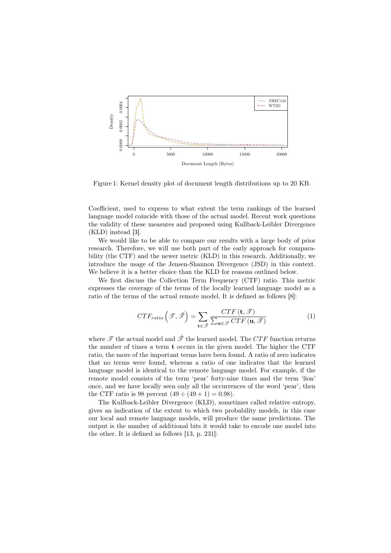<span id="page-4-0"></span>

Figure 1: Kernel density plot of document length distributions up to 20 KB.

Coefficient, used to express to what extent the term rankings of the learned language model coincide with those of the actual model. Recent work questions the validity of these measures and proposed using Kullback-Leibler Divergence (KLD) instead [\[3\]](#page-11-12).

We would like to be able to compare our results with a large body of prior research. Therefore, we will use both part of the early approach for comparability (the CTF) and the newer metric (KLD) in this research. Additionally, we introduce the usage of the Jensen-Shannon Divergence (JSD) in this context. We believe it is a better choice than the KLD for reasons outlined below.

We first discuss the Collection Term Frequency (CTF) ratio. This metric expresses the coverage of the terms of the locally learned language model as a ratio of the terms of the actual remote model. It is defined as follows [\[8\]](#page-11-0):

$$
CTF_{ratio}\left(\mathcal{F},\hat{\mathcal{F}}\right) = \sum_{\mathbf{t}\in\hat{\mathcal{F}}} \frac{CTF\left(\mathbf{t},\mathcal{F}\right)}{\sum_{\mathbf{u}\in\mathcal{F}}CTF\left(\mathbf{u},\mathcal{F}\right)}\tag{1}
$$

where  $\mathscr T$  the actual model and  $\hat{\mathscr T}$  the learned model. The CTF function returns the number of times a term t occurs in the given model. The higher the CTF ratio, the more of the important terms have been found. A ratio of zero indicates that no terms were found, whereas a ratio of one indicates that the learned language model is identical to the remote language model. For example, if the remote model consists of the term 'pear' forty-nine times and the term 'lion' once, and we have locally seen only all the occurrences of the word 'pear', then the CTF ratio is 98 percent  $(49 \div (49 + 1) = 0.98)$ .

The Kullback-Leibler Divergence (KLD), sometimes called relative entropy, gives an indication of the extent to which two probability models, in this case our local and remote language models, will produce the same predictions. The output is the number of additional bits it would take to encode one model into the other. It is defined as follows [\[13,](#page-11-4) p. 231]: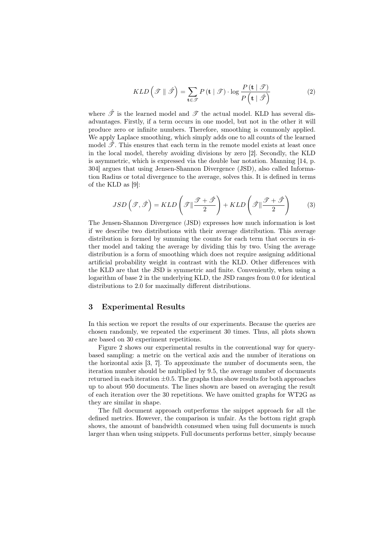$$
KLD\left(\mathcal{T} \parallel \hat{\mathcal{T}}\right) = \sum_{\mathbf{t} \in \mathcal{T}} P\left(\mathbf{t} \mid \mathcal{T}\right) \cdot \log \frac{P\left(\mathbf{t} \mid \mathcal{T}\right)}{P\left(\mathbf{t} \mid \hat{\mathcal{T}}\right)}
$$
(2)

where  $\hat{\mathcal{T}}$  is the learned model and  $\mathcal{T}$  the actual model. KLD has several disadvantages. Firstly, if a term occurs in one model, but not in the other it will produce zero or infinite numbers. Therefore, smoothing is commonly applied. We apply Laplace smoothing, which simply adds one to all counts of the learned model  $\mathscr{T}$ . This ensures that each term in the remote model exists at least once in the local model, thereby avoiding divisions by zero [\[2\]](#page-11-6). Secondly, the KLD is asymmetric, which is expressed via the double bar notation. Manning [\[14,](#page-11-13) p. 304] argues that using Jensen-Shannon Divergence (JSD), also called Information Radius or total divergence to the average, solves this. It is defined in terms of the KLD as [\[9\]](#page-11-14):

$$
JSD\left(\mathcal{F}, \hat{\mathcal{F}}\right) = KLD\left(\mathcal{F} \|\frac{\mathcal{F} + \hat{\mathcal{F}}}{2}\right) + KLD\left(\hat{\mathcal{F}} \|\frac{\mathcal{F} + \hat{\mathcal{F}}}{2}\right) \tag{3}
$$

The Jensen-Shannon Divergence (JSD) expresses how much information is lost if we describe two distributions with their average distribution. This average distribution is formed by summing the counts for each term that occurs in either model and taking the average by dividing this by two. Using the average distribution is a form of smoothing which does not require assigning additional artificial probability weight in contrast with the KLD. Other differences with the KLD are that the JSD is symmetric and finite. Conveniently, when using a logarithm of base 2 in the underlying KLD, the JSD ranges from 0.0 for identical distributions to 2.0 for maximally different distributions.

#### <span id="page-5-0"></span>3 Experimental Results

In this section we report the results of our experiments. Because the queries are chosen randomly, we repeated the experiment 30 times. Thus, all plots shown are based on 30 experiment repetitions.

Figure [2](#page-6-0) shows our experimental results in the conventional way for querybased sampling: a metric on the vertical axis and the number of iterations on the horizontal axis [\[3,](#page-11-12) [7\]](#page-11-3). To approximate the number of documents seen, the iteration number should be multiplied by 9.5, the average number of documents returned in each iteration  $\pm 0.5$ . The graphs thus show results for both approaches up to about 950 documents. The lines shown are based on averaging the result of each iteration over the 30 repetitions. We have omitted graphs for WT2G as they are similar in shape.

The full document approach outperforms the snippet approach for all the defined metrics. However, the comparison is unfair. As the bottom right graph shows, the amount of bandwidth consumed when using full documents is much larger than when using snippets. Full documents performs better, simply because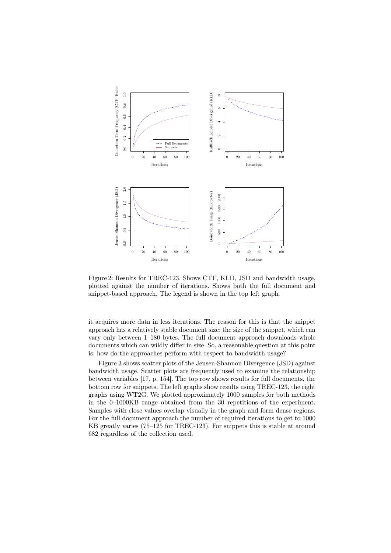<span id="page-6-0"></span>

Figure 2: Results for TREC-123. Shows CTF, KLD, JSD and bandwidth usage, plotted against the number of iterations. Shows both the full document and snippet-based approach. The legend is shown in the top left graph.

it acquires more data in less iterations. The reason for this is that the snippet approach has a relatively stable document size: the size of the snippet, which can vary only between 1–180 bytes. The full document approach downloads whole documents which can wildly differ in size. So, a reasonable question at this point is: how do the approaches perform with respect to bandwidth usage?

Figure [3](#page-7-0) shows scatter plots of the Jensen-Shannon Divergence (JSD) against bandwidth usage. Scatter plots are frequently used to examine the relationship between variables [\[17,](#page-11-15) p. 154]. The top row shows results for full documents, the bottom row for snippets. The left graphs show results using TREC-123, the right graphs using WT2G. We plotted approximately 1000 samples for both methods in the 0–1000KB range obtained from the 30 repetitions of the experiment. Samples with close values overlap visually in the graph and form dense regions. For the full document approach the number of required iterations to get to 1000 KB greatly varies (75–125 for TREC-123). For snippets this is stable at around 682 regardless of the collection used.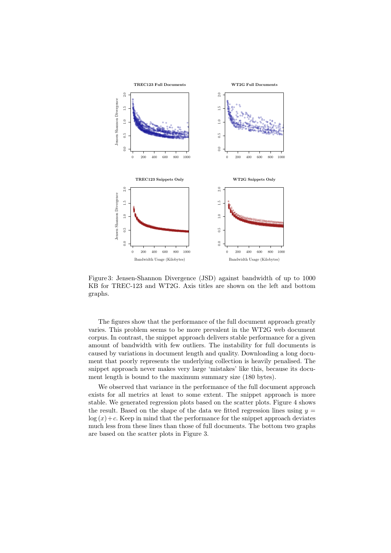<span id="page-7-0"></span>

Figure 3: Jensen-Shannon Divergence (JSD) against bandwidth of up to 1000 KB for TREC-123 and WT2G. Axis titles are shown on the left and bottom graphs.

The figures show that the performance of the full document approach greatly varies. This problem seems to be more prevalent in the WT2G web document corpus. In contrast, the snippet approach delivers stable performance for a given amount of bandwidth with few outliers. The instability for full documents is caused by variations in document length and quality. Downloading a long document that poorly represents the underlying collection is heavily penalised. The snippet approach never makes very large 'mistakes' like this, because its document length is bound to the maximum summary size (180 bytes).

We observed that variance in the performance of the full document approach exists for all metrics at least to some extent. The snippet approach is more stable. We generated regression plots based on the scatter plots. Figure [4](#page-8-0) shows the result. Based on the shape of the data we fitted regression lines using  $y =$  $log(x) + c$ . Keep in mind that the performance for the snippet approach deviates much less from these lines than those of full documents. The bottom two graphs are based on the scatter plots in Figure [3.](#page-7-0)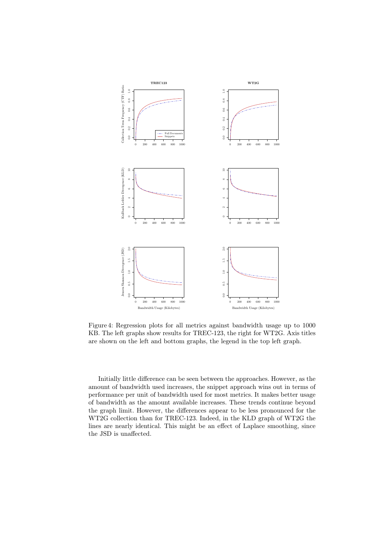<span id="page-8-0"></span>

Figure 4: Regression plots for all metrics against bandwidth usage up to 1000 KB. The left graphs show results for TREC-123, the right for WT2G. Axis titles are shown on the left and bottom graphs, the legend in the top left graph.

Initially little difference can be seen between the approaches. However, as the amount of bandwidth used increases, the snippet approach wins out in terms of performance per unit of bandwidth used for most metrics. It makes better usage of bandwidth as the amount available increases. These trends continue beyond the graph limit. However, the differences appear to be less pronounced for the WT2G collection than for TREC-123. Indeed, in the KLD graph of WT2G the lines are nearly identical. This might be an effect of Laplace smoothing, since the JSD is unaffected.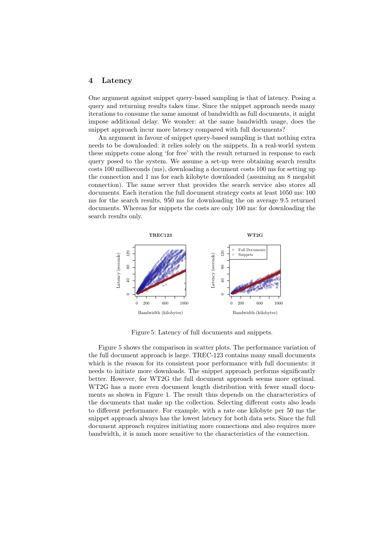#### <span id="page-9-0"></span>4 Latency

One argument against snippet query-based sampling is that of latency. Posing a query and returning results takes time. Since the snippet approach needs many iterations to consume the same amount of bandwidth as full documents, it might impose additional delay. We wonder: at the same bandwidth usage, does the snippet approach incur more latency compared with full documents?

An argument in favour of snippet query-based sampling is that nothing extra needs to be downloaded: it relies solely on the snippets. In a real-world system these snippets come along 'for free' with the result returned in response to each query posed to the system. We assume a set-up were obtaining search results costs 100 milliseconds (ms), downloading a document costs 100 ms for setting up the connection and 1 ms for each kilobyte downloaded (assuming an 8 megabit connection). The same server that provides the search service also stores all documents. Each iteration the full document strategy costs at least 1050 ms: 100 ms for the search results, 950 ms for downloading the on average 9.5 returned documents. Whereas for snippets the costs are only 100 ms: for downloading the search results only.

<span id="page-9-1"></span>

Figure 5: Latency of full documents and snippets.

Figure [5](#page-9-1) shows the comparison in scatter plots. The performance variation of the full document approach is large. TREC-123 contains many small documents which is the reason for its consistent poor performance with full documents: it needs to initiate more downloads. The snippet approach performs significantly better. However, for WT2G the full document approach seems more optimal. WT2G has a more even document length distribution with fewer small documents as shown in Figure [1.](#page-3-1) The result thus depends on the characteristics of the documents that make up the collection. Selecting different costs also leads to different performance. For example, with a rate one kilobyte per 50 ms the snippet approach always has the lowest latency for both data sets. Since the full document approach requires initiating more connections and also requires more bandwidth, it is much more sensitive to the characteristics of the connection.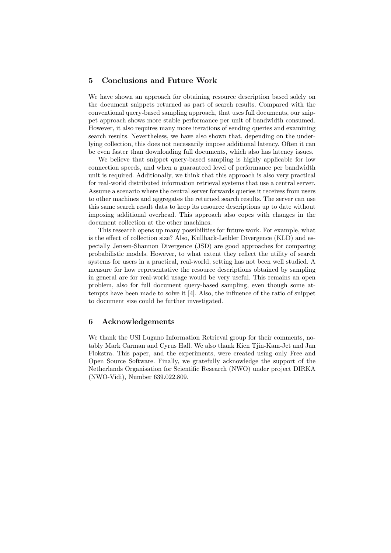#### <span id="page-10-0"></span>5 Conclusions and Future Work

We have shown an approach for obtaining resource description based solely on the document snippets returned as part of search results. Compared with the conventional query-based sampling approach, that uses full documents, our snippet approach shows more stable performance per unit of bandwidth consumed. However, it also requires many more iterations of sending queries and examining search results. Nevertheless, we have also shown that, depending on the underlying collection, this does not necessarily impose additional latency. Often it can be even faster than downloading full documents, which also has latency issues.

We believe that snippet query-based sampling is highly applicable for low connection speeds, and when a guaranteed level of performance per bandwidth unit is required. Additionally, we think that this approach is also very practical for real-world distributed information retrieval systems that use a central server. Assume a scenario where the central server forwards queries it receives from users to other machines and aggregates the returned search results. The server can use this same search result data to keep its resource descriptions up to date without imposing additional overhead. This approach also copes with changes in the document collection at the other machines.

This research opens up many possibilities for future work. For example, what is the effect of collection size? Also, Kullback-Leibler Divergence (KLD) and especially Jensen-Shannon Divergence (JSD) are good approaches for comparing probabilistic models. However, to what extent they reflect the utility of search systems for users in a practical, real-world, setting has not been well studied. A measure for how representative the resource descriptions obtained by sampling in general are for real-world usage would be very useful. This remains an open problem, also for full document query-based sampling, even though some attempts have been made to solve it [\[4\]](#page-11-16). Also, the influence of the ratio of snippet to document size could be further investigated.

#### 6 Acknowledgements

We thank the USI Lugano Information Retrieval group for their comments, notably Mark Carman and Cyrus Hall. We also thank Kien Tjin-Kam-Jet and Jan Flokstra. This paper, and the experiments, were created using only Free and Open Source Software. Finally, we gratefully acknowledge the support of the Netherlands Organisation for Scientific Research (NWO) under project DIRKA (NWO-Vidi), Number 639.022.809.